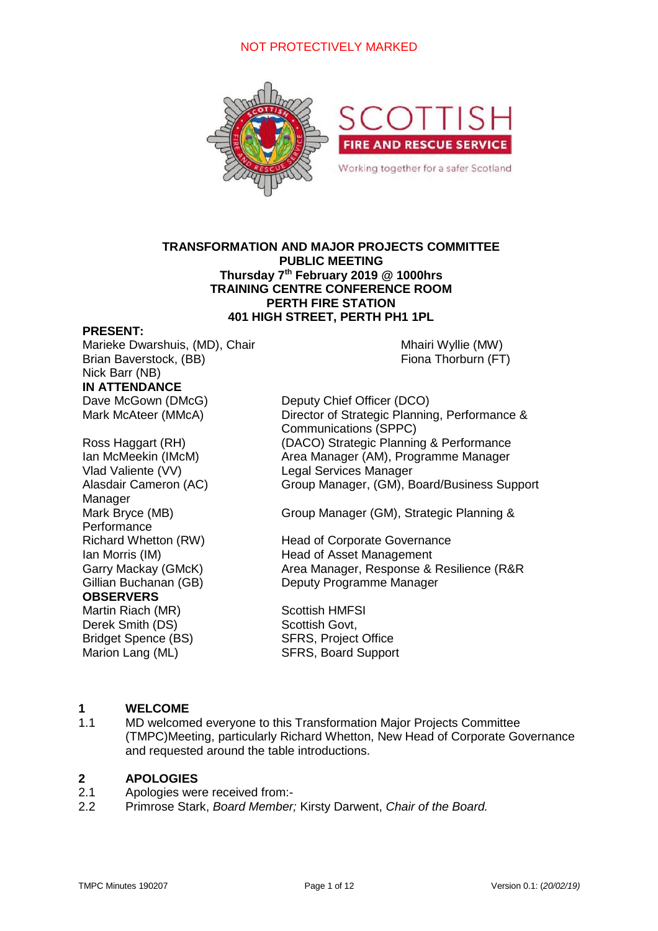# NOT PROTECTIVELY MARKED



## **TRANSFORMATION AND MAJOR PROJECTS COMMITTEE PUBLIC MEETING Thursday 7th February 2019 @ 1000hrs TRAINING CENTRE CONFERENCE ROOM PERTH FIRE STATION 401 HIGH STREET, PERTH PH1 1PL**

#### **PRESENT:**

Marieke Dwarshuis, (MD), Chair **Marieke Dwarshuis, (MD), Chair** Musical Mhairi Wyllie (MW)<br>Brian Baverstock, (BB) **Finness** Fiona Thorburn (FT) Brian Baverstock, (BB) Nick Barr (NB) **IN ATTENDANCE** Dave McGown (DMcG) Deputy Chief Officer (DCO)

Manager **Performance OBSERVERS**

# Martin Riach (MR) Scottish HMFSI Derek Smith (DS) Scottish Govt,

Mark McAteer (MMcA) Director of Strategic Planning, Performance & Communications (SPPC) Ross Haggart (RH) (DACO) Strategic Planning & Performance Ian McMeekin (IMcM) Area Manager (AM), Programme Manager Vlad Valiente (VV) Legal Services Manager Alasdair Cameron (AC) Group Manager, (GM), Board/Business Support

Mark Bryce (MB) Group Manager (GM), Strategic Planning &

Richard Whetton (RW) Head of Corporate Governance Ian Morris (IM) Thead of Asset Management Garry Mackay (GMcK) Area Manager, Response & Resilience (R&R Gillian Buchanan (GB) Deputy Programme Manager

Bridget Spence (BS) SFRS, Project Office<br>
Marion Lang (ML) SFRS, Board Suppor SFRS, Board Support

### **1 WELCOME**

1.1 MD welcomed everyone to this Transformation Major Projects Committee (TMPC)Meeting, particularly Richard Whetton, New Head of Corporate Governance and requested around the table introductions.

### **2 APOLOGIES**

- 2.1 Apologies were received from:-
- 2.2 Primrose Stark, *Board Member;* Kirsty Darwent, *Chair of the Board.*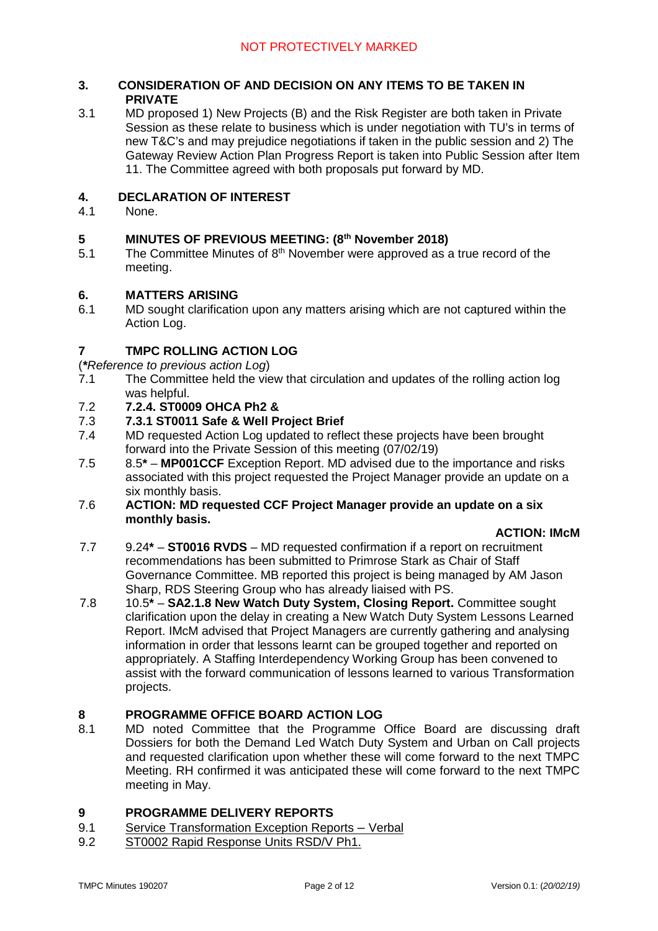## **3. CONSIDERATION OF AND DECISION ON ANY ITEMS TO BE TAKEN IN PRIVATE**

3.1 MD proposed 1) New Projects (B) and the Risk Register are both taken in Private Session as these relate to business which is under negotiation with TU's in terms of new T&C's and may prejudice negotiations if taken in the public session and 2) The Gateway Review Action Plan Progress Report is taken into Public Session after Item 11. The Committee agreed with both proposals put forward by MD.

# **4. DECLARATION OF INTEREST**

None.

## **5 MINUTES OF PREVIOUS MEETING: (8th November 2018)**

5.1 The Committee Minutes of  $8<sup>th</sup>$  November were approved as a true record of the meeting.

# **6. MATTERS ARISING**

MD sought clarification upon any matters arising which are not captured within the Action Log.

## **7 TMPC ROLLING ACTION LOG**

- (*\*Reference to previous action Log*)
- 7.1 The Committee held the view that circulation and updates of the rolling action log was helpful.

# 7.2 **7.2.4. ST0009 OHCA Ph2 &**

# 7.3 **7.3.1 ST0011 Safe & Well Project Brief**

- 7.4 MD requested Action Log updated to reflect these projects have been brought forward into the Private Session of this meeting (07/02/19)
- 7.5 8.5**\* MP001CCF** Exception Report. MD advised due to the importance and risks associated with this project requested the Project Manager provide an update on a six monthly basis.
- 7.6 **ACTION: MD requested CCF Project Manager provide an update on a six monthly basis.**

#### **ACTION: IMcM**

- 7.7 9.24**\* ST0016 RVDS** MD requested confirmation if a report on recruitment recommendations has been submitted to Primrose Stark as Chair of Staff Governance Committee. MB reported this project is being managed by AM Jason Sharp, RDS Steering Group who has already liaised with PS.
- 7.8 10.5**\* SA2.1.8 New Watch Duty System, Closing Report.** Committee sought clarification upon the delay in creating a New Watch Duty System Lessons Learned Report. IMcM advised that Project Managers are currently gathering and analysing information in order that lessons learnt can be grouped together and reported on appropriately. A Staffing Interdependency Working Group has been convened to assist with the forward communication of lessons learned to various Transformation projects.

# **8 PROGRAMME OFFICE BOARD ACTION LOG**

8.1 MD noted Committee that the Programme Office Board are discussing draft Dossiers for both the Demand Led Watch Duty System and Urban on Call projects and requested clarification upon whether these will come forward to the next TMPC Meeting. RH confirmed it was anticipated these will come forward to the next TMPC meeting in May.

### **9 PROGRAMME DELIVERY REPORTS**

- 9.1 Service Transformation Exception Reports Verbal
- 9.2 ST0002 Rapid Response Units RSD/V Ph1.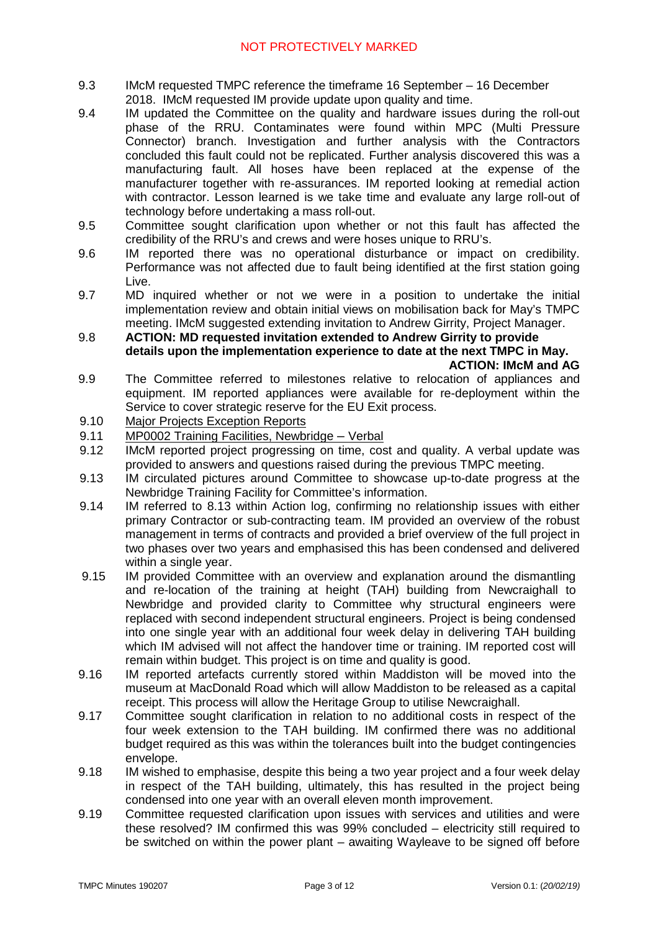- 9.3 IMcM requested TMPC reference the timeframe 16 September 16 December 2018. IMcM requested IM provide update upon quality and time.
- 9.4 IM updated the Committee on the quality and hardware issues during the roll-out phase of the RRU. Contaminates were found within MPC (Multi Pressure Connector) branch. Investigation and further analysis with the Contractors concluded this fault could not be replicated. Further analysis discovered this was a manufacturing fault. All hoses have been replaced at the expense of the manufacturer together with re-assurances. IM reported looking at remedial action with contractor. Lesson learned is we take time and evaluate any large roll-out of technology before undertaking a mass roll-out.
- 9.5 Committee sought clarification upon whether or not this fault has affected the credibility of the RRU's and crews and were hoses unique to RRU's.
- 9.6 IM reported there was no operational disturbance or impact on credibility. Performance was not affected due to fault being identified at the first station going Live.
- 9.7 MD inquired whether or not we were in a position to undertake the initial implementation review and obtain initial views on mobilisation back for May's TMPC meeting. IMcM suggested extending invitation to Andrew Girrity, Project Manager.

## 9.8 **ACTION: MD requested invitation extended to Andrew Girrity to provide details upon the implementation experience to date at the next TMPC in May. ACTION: IMcM and AG**

- 9.9 The Committee referred to milestones relative to relocation of appliances and equipment. IM reported appliances were available for re-deployment within the Service to cover strategic reserve for the EU Exit process.
- 9.10 Major Projects Exception Reports
- 9.11 MP0002 Training Facilities, Newbridge Verbal
- 9.12 IMcM reported project progressing on time, cost and quality. A verbal update was provided to answers and questions raised during the previous TMPC meeting.
- 9.13 IM circulated pictures around Committee to showcase up-to-date progress at the Newbridge Training Facility for Committee's information.
- 9.14 IM referred to 8.13 within Action log, confirming no relationship issues with either primary Contractor or sub-contracting team. IM provided an overview of the robust management in terms of contracts and provided a brief overview of the full project in two phases over two years and emphasised this has been condensed and delivered within a single year.
- 9.15 IM provided Committee with an overview and explanation around the dismantling and re-location of the training at height (TAH) building from Newcraighall to Newbridge and provided clarity to Committee why structural engineers were replaced with second independent structural engineers. Project is being condensed into one single year with an additional four week delay in delivering TAH building which IM advised will not affect the handover time or training. IM reported cost will remain within budget. This project is on time and quality is good.
- 9.16 IM reported artefacts currently stored within Maddiston will be moved into the museum at MacDonald Road which will allow Maddiston to be released as a capital receipt. This process will allow the Heritage Group to utilise Newcraighall.
- 9.17 Committee sought clarification in relation to no additional costs in respect of the four week extension to the TAH building. IM confirmed there was no additional budget required as this was within the tolerances built into the budget contingencies envelope.
- 9.18 IM wished to emphasise, despite this being a two year project and a four week delay in respect of the TAH building, ultimately, this has resulted in the project being condensed into one year with an overall eleven month improvement.
- 9.19 Committee requested clarification upon issues with services and utilities and were these resolved? IM confirmed this was 99% concluded – electricity still required to be switched on within the power plant – awaiting Wayleave to be signed off before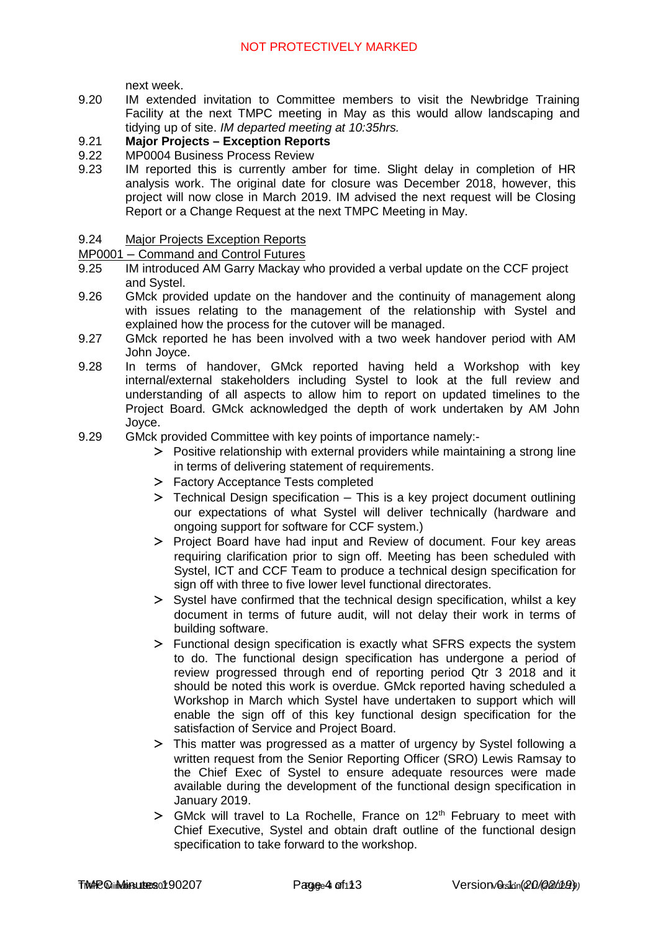next week.

- 9.20 IM extended invitation to Committee members to visit the Newbridge Training Facility at the next TMPC meeting in May as this would allow landscaping and tidying up of site. *IM departed meeting at 10:35hrs.*
- 9.21 **Major Projects Exception Reports**
- 9.22 MP0004 Business Process Review
- 9.23 IM reported this is currently amber for time. Slight delay in completion of HR analysis work. The original date for closure was December 2018, however, this project will now close in March 2019. IM advised the next request will be Closing Report or a Change Request at the next TMPC Meeting in May.

## 9.24 Major Projects Exception Reports

## MP0001 – Command and Control Futures

- 9.25 IM introduced AM Garry Mackay who provided a verbal update on the CCF project and Systel.
- 9.26 GMck provided update on the handover and the continuity of management along with issues relating to the management of the relationship with Systel and explained how the process for the cutover will be managed.
- 9.27 GMck reported he has been involved with a two week handover period with AM John Joyce.
- 9.28 In terms of handover, GMck reported having held a Workshop with key internal/external stakeholders including Systel to look at the full review and understanding of all aspects to allow him to report on updated timelines to the Project Board. GMck acknowledged the depth of work undertaken by AM John Joyce.
- 9.29 GMck provided Committee with key points of importance namely:-
	- > Positive relationship with external providers while maintaining a strong line in terms of delivering statement of requirements.
	- > Factory Acceptance Tests completed
	- > Technical Design specification This is a key project document outlining our expectations of what Systel will deliver technically (hardware and ongoing support for software for CCF system.)
	- > Project Board have had input and Review of document. Four key areas requiring clarification prior to sign off. Meeting has been scheduled with Systel, ICT and CCF Team to produce a technical design specification for sign off with three to five lower level functional directorates.
	- > Systel have confirmed that the technical design specification, whilst a key document in terms of future audit, will not delay their work in terms of building software.
	- > Functional design specification is exactly what SFRS expects the system to do. The functional design specification has undergone a period of review progressed through end of reporting period Qtr 3 2018 and it should be noted this work is overdue. GMck reported having scheduled a Workshop in March which Systel have undertaken to support which will enable the sign off of this key functional design specification for the satisfaction of Service and Project Board.
	- > This matter was progressed as a matter of urgency by Systel following a written request from the Senior Reporting Officer (SRO) Lewis Ramsay to the Chief Exec of Systel to ensure adequate resources were made available during the development of the functional design specification in January 2019.
	- $>$  GMck will travel to La Rochelle, France on 12<sup>th</sup> February to meet with Chief Executive, Systel and obtain draft outline of the functional design specification to take forward to the workshop.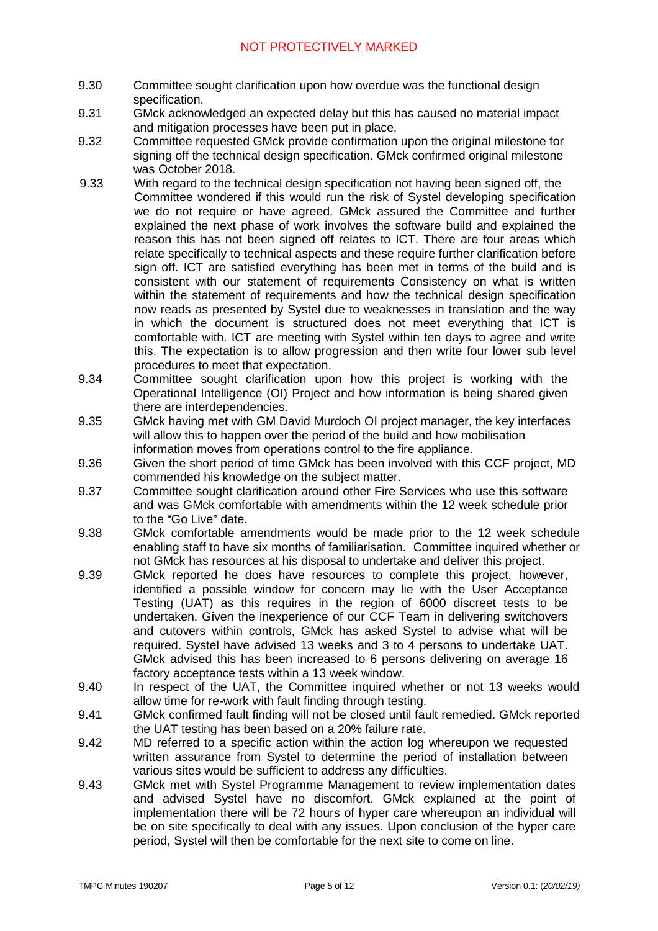- 9.30 Committee sought clarification upon how overdue was the functional design specification.
- 9.31 GMck acknowledged an expected delay but this has caused no material impact and mitigation processes have been put in place.
- 9.32 Committee requested GMck provide confirmation upon the original milestone for signing off the technical design specification. GMck confirmed original milestone was October 2018.
- 9.33 With regard to the technical design specification not having been signed off, the Committee wondered if this would run the risk of Systel developing specification we do not require or have agreed. GMck assured the Committee and further explained the next phase of work involves the software build and explained the reason this has not been signed off relates to ICT. There are four areas which relate specifically to technical aspects and these require further clarification before sign off. ICT are satisfied everything has been met in terms of the build and is consistent with our statement of requirements Consistency on what is written within the statement of requirements and how the technical design specification now reads as presented by Systel due to weaknesses in translation and the way in which the document is structured does not meet everything that ICT is comfortable with. ICT are meeting with Systel within ten days to agree and write this. The expectation is to allow progression and then write four lower sub level procedures to meet that expectation.
- 9.34 Committee sought clarification upon how this project is working with the Operational Intelligence (OI) Project and how information is being shared given there are interdependencies.
- 9.35 GMck having met with GM David Murdoch OI project manager, the key interfaces will allow this to happen over the period of the build and how mobilisation information moves from operations control to the fire appliance.
- 9.36 Given the short period of time GMck has been involved with this CCF project, MD commended his knowledge on the subject matter.
- 9.37 Committee sought clarification around other Fire Services who use this software and was GMck comfortable with amendments within the 12 week schedule prior to the "Go Live" date.
- 9.38 GMck comfortable amendments would be made prior to the 12 week schedule enabling staff to have six months of familiarisation. Committee inquired whether or not GMck has resources at his disposal to undertake and deliver this project.
- 9.39 GMck reported he does have resources to complete this project, however, identified a possible window for concern may lie with the User Acceptance Testing (UAT) as this requires in the region of 6000 discreet tests to be undertaken. Given the inexperience of our CCF Team in delivering switchovers and cutovers within controls, GMck has asked Systel to advise what will be required. Systel have advised 13 weeks and 3 to 4 persons to undertake UAT. GMck advised this has been increased to 6 persons delivering on average 16 factory acceptance tests within a 13 week window.
- 9.40 In respect of the UAT, the Committee inquired whether or not 13 weeks would allow time for re-work with fault finding through testing.
- 9.41 GMck confirmed fault finding will not be closed until fault remedied. GMck reported the UAT testing has been based on a 20% failure rate.
- 9.42 MD referred to a specific action within the action log whereupon we requested written assurance from Systel to determine the period of installation between various sites would be sufficient to address any difficulties.
- 9.43 GMck met with Systel Programme Management to review implementation dates and advised Systel have no discomfort. GMck explained at the point of implementation there will be 72 hours of hyper care whereupon an individual will be on site specifically to deal with any issues. Upon conclusion of the hyper care period, Systel will then be comfortable for the next site to come on line.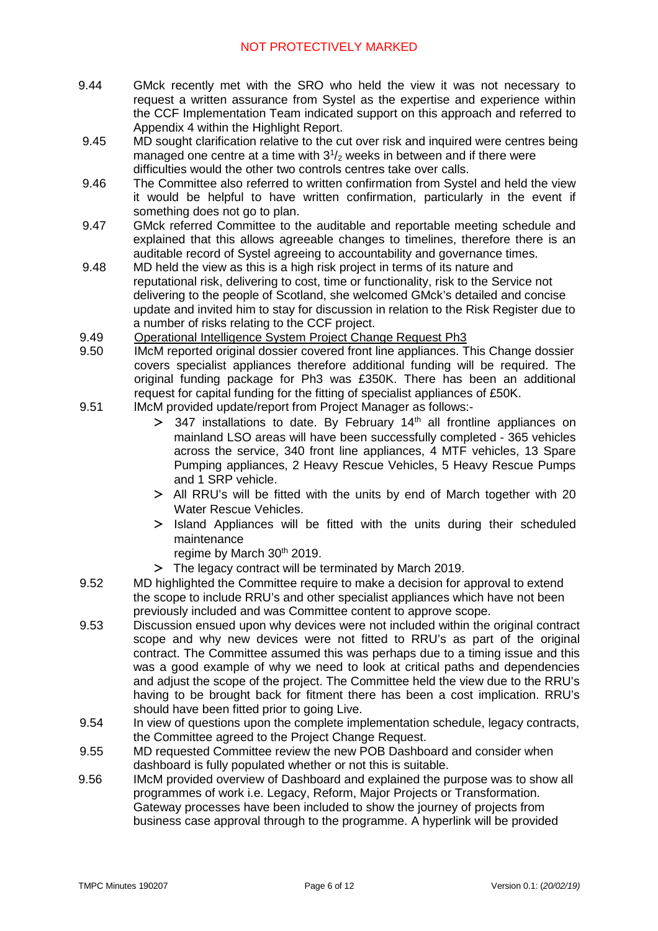# NOT PROTECTIVELY MARKED

- 9.44 GMck recently met with the SRO who held the view it was not necessary to request a written assurance from Systel as the expertise and experience within the CCF Implementation Team indicated support on this approach and referred to Appendix 4 within the Highlight Report.
- 9.45 MD sought clarification relative to the cut over risk and inquired were centres being managed one centre at a time with  $3<sup>1</sup>/2$  weeks in between and if there were difficulties would the other two controls centres take over calls.
- 9.46 The Committee also referred to written confirmation from Systel and held the view it would be helpful to have written confirmation, particularly in the event if something does not go to plan.
- 9.47 GMck referred Committee to the auditable and reportable meeting schedule and explained that this allows agreeable changes to timelines, therefore there is an auditable record of Systel agreeing to accountability and governance times.
- 9.48 MD held the view as this is a high risk project in terms of its nature and reputational risk, delivering to cost, time or functionality, risk to the Service not delivering to the people of Scotland, she welcomed GMck's detailed and concise update and invited him to stay for discussion in relation to the Risk Register due to a number of risks relating to the CCF project.
- 9.49 Operational Intelligence System Project Change Request Ph3
- 9.50 IMcM reported original dossier covered front line appliances. This Change dossier covers specialist appliances therefore additional funding will be required. The original funding package for Ph3 was £350K. There has been an additional request for capital funding for the fitting of specialist appliances of £50K.
- 9.51 lMcM provided update/report from Project Manager as follows:-
	- $>$  347 installations to date. By February 14<sup>th</sup> all frontline appliances on mainland LSO areas will have been successfully completed - 365 vehicles across the service, 340 front line appliances, 4 MTF vehicles, 13 Spare Pumping appliances, 2 Heavy Rescue Vehicles, 5 Heavy Rescue Pumps and 1 SRP vehicle.
	- > All RRU's will be fitted with the units by end of March together with 20 Water Rescue Vehicles.
	- > Island Appliances will be fitted with the units during their scheduled maintenance
		- regime by March 30<sup>th</sup> 2019.
	- > The legacy contract will be terminated by March 2019.
- 9.52 MD highlighted the Committee require to make a decision for approval to extend the scope to include RRU's and other specialist appliances which have not been previously included and was Committee content to approve scope.
- 9.53 Discussion ensued upon why devices were not included within the original contract scope and why new devices were not fitted to RRU's as part of the original contract. The Committee assumed this was perhaps due to a timing issue and this was a good example of why we need to look at critical paths and dependencies and adjust the scope of the project. The Committee held the view due to the RRU's having to be brought back for fitment there has been a cost implication. RRU's should have been fitted prior to going Live.
- 9.54 In view of questions upon the complete implementation schedule, legacy contracts, the Committee agreed to the Project Change Request.
- 9.55 MD requested Committee review the new POB Dashboard and consider when dashboard is fully populated whether or not this is suitable.
- 9.56 IMcM provided overview of Dashboard and explained the purpose was to show all programmes of work i.e. Legacy, Reform, Major Projects or Transformation. Gateway processes have been included to show the journey of projects from business case approval through to the programme. A hyperlink will be provided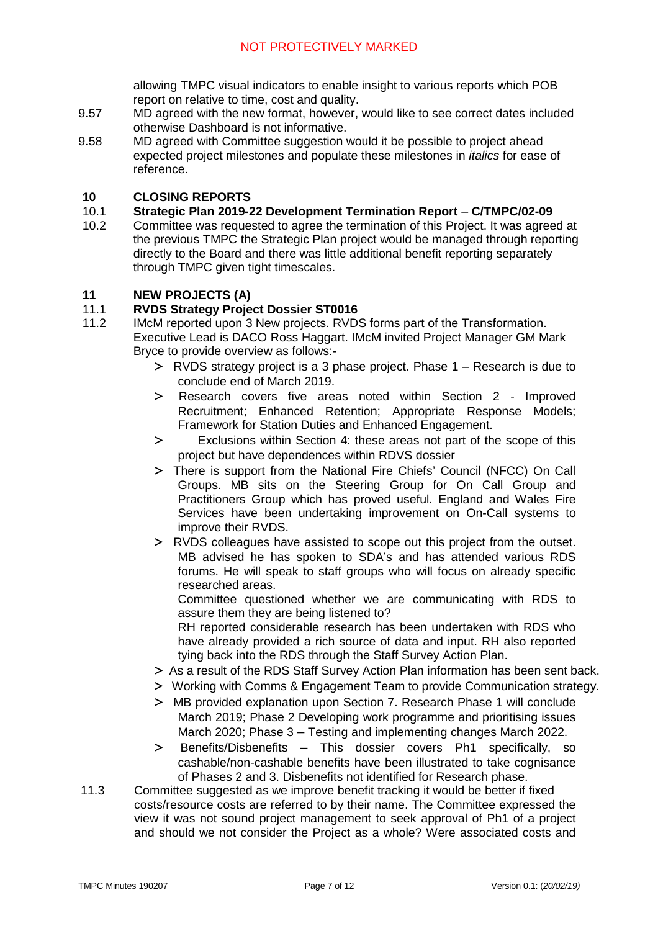allowing TMPC visual indicators to enable insight to various reports which POB report on relative to time, cost and quality.

- 9.57 MD agreed with the new format, however, would like to see correct dates included otherwise Dashboard is not informative.
- 9.58 MD agreed with Committee suggestion would it be possible to project ahead expected project milestones and populate these milestones in *italics* for ease of reference.

# **10 CLOSING REPORTS**

- 10.1 **Strategic Plan 2019-22 Development Termination Report C/TMPC/02-09**
- Committee was requested to agree the termination of this Project. It was agreed at the previous TMPC the Strategic Plan project would be managed through reporting directly to the Board and there was little additional benefit reporting separately through TMPC given tight timescales.

# **11 NEW PROJECTS (A)**

## 11.1 **RVDS Strategy Project Dossier ST0016**

- 11.2 IMcM reported upon 3 New projects. RVDS forms part of the Transformation. Executive Lead is DACO Ross Haggart. IMcM invited Project Manager GM Mark Bryce to provide overview as follows:-
	- > RVDS strategy project is a 3 phase project. Phase 1 Research is due to conclude end of March 2019.
	- > Research covers five areas noted within Section 2 Improved Recruitment; Enhanced Retention; Appropriate Response Models; Framework for Station Duties and Enhanced Engagement.
	- > Exclusions within Section 4: these areas not part of the scope of this project but have dependences within RDVS dossier
	- > There is support from the National Fire Chiefs' Council (NFCC) On Call Groups. MB sits on the Steering Group for On Call Group and Practitioners Group which has proved useful. England and Wales Fire Services have been undertaking improvement on On-Call systems to improve their RVDS.
	- > RVDS colleagues have assisted to scope out this project from the outset. MB advised he has spoken to SDA's and has attended various RDS forums. He will speak to staff groups who will focus on already specific researched areas.

Committee questioned whether we are communicating with RDS to assure them they are being listened to?

RH reported considerable research has been undertaken with RDS who have already provided a rich source of data and input. RH also reported tying back into the RDS through the Staff Survey Action Plan.

- > As a result of the RDS Staff Survey Action Plan information has been sent back.
- > Working with Comms & Engagement Team to provide Communication strategy.
- > MB provided explanation upon Section 7. Research Phase 1 will conclude March 2019; Phase 2 Developing work programme and prioritising issues March 2020; Phase 3 – Testing and implementing changes March 2022.
- > Benefits/Disbenefits This dossier covers Ph1 specifically, so cashable/non-cashable benefits have been illustrated to take cognisance of Phases 2 and 3. Disbenefits not identified for Research phase.
- 11.3 Committee suggested as we improve benefit tracking it would be better if fixed costs/resource costs are referred to by their name. The Committee expressed the view it was not sound project management to seek approval of Ph1 of a project and should we not consider the Project as a whole? Were associated costs and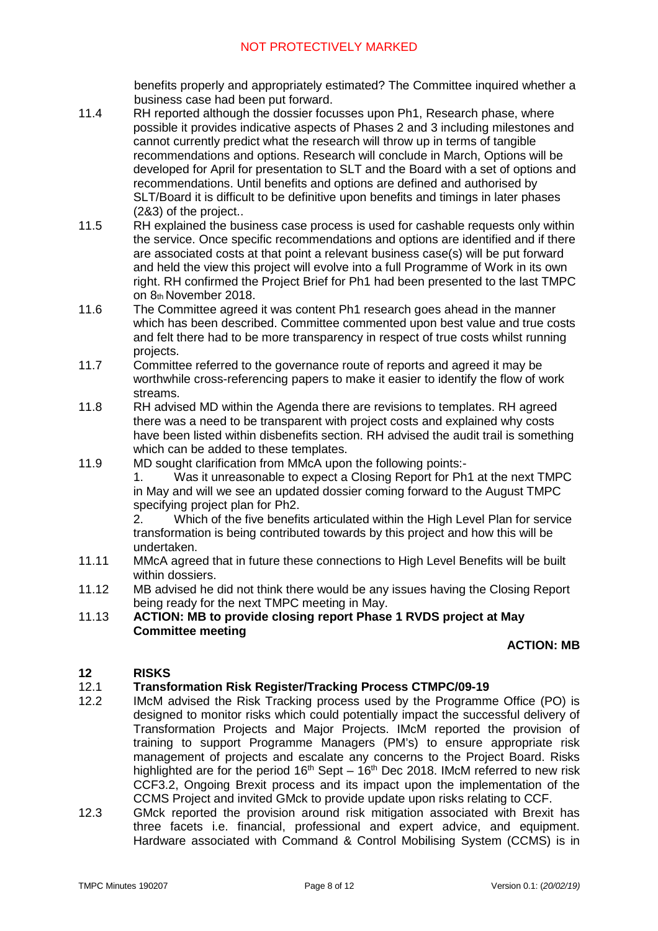benefits properly and appropriately estimated? The Committee inquired whether a business case had been put forward.

- 11.4 RH reported although the dossier focusses upon Ph1, Research phase, where possible it provides indicative aspects of Phases 2 and 3 including milestones and cannot currently predict what the research will throw up in terms of tangible recommendations and options. Research will conclude in March, Options will be developed for April for presentation to SLT and the Board with a set of options and recommendations. Until benefits and options are defined and authorised by SLT/Board it is difficult to be definitive upon benefits and timings in later phases (2&3) of the project..
- 11.5 RH explained the business case process is used for cashable requests only within the service. Once specific recommendations and options are identified and if there are associated costs at that point a relevant business case(s) will be put forward and held the view this project will evolve into a full Programme of Work in its own right. RH confirmed the Project Brief for Ph1 had been presented to the last TMPC on 8th November 2018.
- 11.6 The Committee agreed it was content Ph1 research goes ahead in the manner which has been described. Committee commented upon best value and true costs and felt there had to be more transparency in respect of true costs whilst running projects.
- 11.7 Committee referred to the governance route of reports and agreed it may be worthwhile cross-referencing papers to make it easier to identify the flow of work streams.
- 11.8 RH advised MD within the Agenda there are revisions to templates. RH agreed there was a need to be transparent with project costs and explained why costs have been listed within disbenefits section. RH advised the audit trail is something which can be added to these templates.
- 11.9 MD sought clarification from MMcA upon the following points:-

1. Was it unreasonable to expect a Closing Report for Ph1 at the next TMPC in May and will we see an updated dossier coming forward to the August TMPC specifying project plan for Ph2.

2. Which of the five benefits articulated within the High Level Plan for service transformation is being contributed towards by this project and how this will be undertaken.

- 11.11 MMcA agreed that in future these connections to High Level Benefits will be built within dossiers.
- 11.12 MB advised he did not think there would be any issues having the Closing Report being ready for the next TMPC meeting in May.
- 11.13 **ACTION: MB to provide closing report Phase 1 RVDS project at May Committee meeting**

### **ACTION: MB**

# **12 RISKS**

## 12.1 **Transformation Risk Register/Tracking Process CTMPC/09-19**

- 12.2 IMcM advised the Risk Tracking process used by the Programme Office (PO) is designed to monitor risks which could potentially impact the successful delivery of Transformation Projects and Major Projects. IMcM reported the provision of training to support Programme Managers (PM's) to ensure appropriate risk management of projects and escalate any concerns to the Project Board. Risks highlighted are for the period  $16<sup>th</sup>$  Sept –  $16<sup>th</sup>$  Dec 2018. IMcM referred to new risk CCF3.2, Ongoing Brexit process and its impact upon the implementation of the CCMS Project and invited GMck to provide update upon risks relating to CCF.
- 12.3 GMck reported the provision around risk mitigation associated with Brexit has three facets i.e. financial, professional and expert advice, and equipment. Hardware associated with Command & Control Mobilising System (CCMS) is in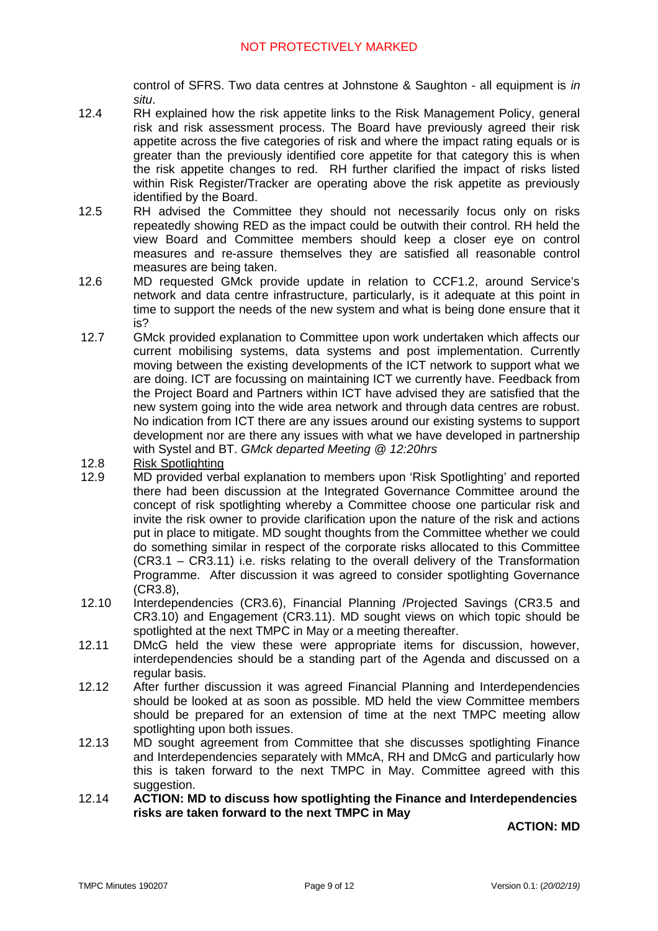control of SFRS. Two data centres at Johnstone & Saughton - all equipment is *in situ*.

- 12.4 RH explained how the risk appetite links to the Risk Management Policy, general risk and risk assessment process. The Board have previously agreed their risk appetite across the five categories of risk and where the impact rating equals or is greater than the previously identified core appetite for that category this is when the risk appetite changes to red. RH further clarified the impact of risks listed within Risk Register/Tracker are operating above the risk appetite as previously identified by the Board.
- 12.5 RH advised the Committee they should not necessarily focus only on risks repeatedly showing RED as the impact could be outwith their control. RH held the view Board and Committee members should keep a closer eye on control measures and re-assure themselves they are satisfied all reasonable control measures are being taken.
- 12.6 MD requested GMck provide update in relation to CCF1.2, around Service's network and data centre infrastructure, particularly, is it adequate at this point in time to support the needs of the new system and what is being done ensure that it is?
- 12.7 GMck provided explanation to Committee upon work undertaken which affects our current mobilising systems, data systems and post implementation. Currently moving between the existing developments of the ICT network to support what we are doing. ICT are focussing on maintaining ICT we currently have. Feedback from the Project Board and Partners within ICT have advised they are satisfied that the new system going into the wide area network and through data centres are robust. No indication from ICT there are any issues around our existing systems to support development nor are there any issues with what we have developed in partnership with Systel and BT. *GMck departed Meeting @ 12:20hrs*
- 12.8 Risk Spotlighting
- 12.9 MD provided verbal explanation to members upon 'Risk Spotlighting' and reported there had been discussion at the Integrated Governance Committee around the concept of risk spotlighting whereby a Committee choose one particular risk and invite the risk owner to provide clarification upon the nature of the risk and actions put in place to mitigate. MD sought thoughts from the Committee whether we could do something similar in respect of the corporate risks allocated to this Committee (CR3.1 – CR3.11) i.e. risks relating to the overall delivery of the Transformation Programme. After discussion it was agreed to consider spotlighting Governance (CR3.8),
- 12.10 Interdependencies (CR3.6), Financial Planning /Projected Savings (CR3.5 and CR3.10) and Engagement (CR3.11). MD sought views on which topic should be spotlighted at the next TMPC in May or a meeting thereafter.
- 12.11 DMcG held the view these were appropriate items for discussion, however, interdependencies should be a standing part of the Agenda and discussed on a regular basis.
- 12.12 After further discussion it was agreed Financial Planning and Interdependencies should be looked at as soon as possible. MD held the view Committee members should be prepared for an extension of time at the next TMPC meeting allow spotlighting upon both issues.
- 12.13 MD sought agreement from Committee that she discusses spotlighting Finance and Interdependencies separately with MMcA, RH and DMcG and particularly how this is taken forward to the next TMPC in May. Committee agreed with this suggestion.
- 12.14 **ACTION: MD to discuss how spotlighting the Finance and Interdependencies risks are taken forward to the next TMPC in May**

**ACTION: MD**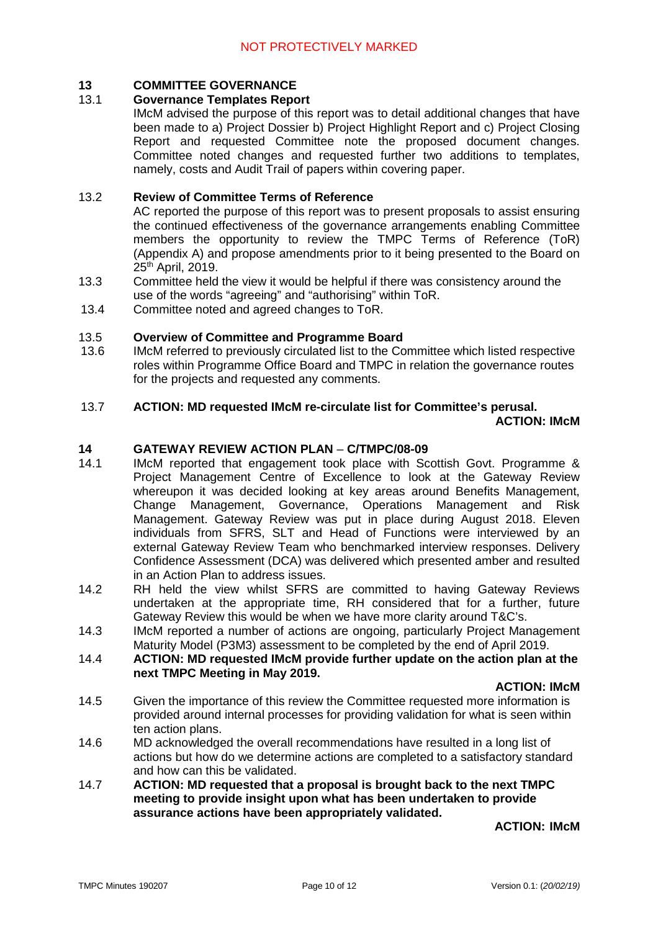# **13 COMMITTEE GOVERNANCE**

## 13.1 **Governance Templates Report**

IMcM advised the purpose of this report was to detail additional changes that have been made to a) Project Dossier b) Project Highlight Report and c) Project Closing Report and requested Committee note the proposed document changes. Committee noted changes and requested further two additions to templates, namely, costs and Audit Trail of papers within covering paper.

## 13.2 **Review of Committee Terms of Reference**

AC reported the purpose of this report was to present proposals to assist ensuring the continued effectiveness of the governance arrangements enabling Committee members the opportunity to review the TMPC Terms of Reference (ToR) (Appendix A) and propose amendments prior to it being presented to the Board on 25<sup>th</sup> April, 2019.

- 13.3 Committee held the view it would be helpful if there was consistency around the use of the words "agreeing" and "authorising" within ToR.
- 13.4 Committee noted and agreed changes to ToR.

### 13.5 **Overview of Committee and Programme Board**

13.6 IMcM referred to previously circulated list to the Committee which listed respective roles within Programme Office Board and TMPC in relation the governance routes for the projects and requested any comments.

# 13.7 **ACTION: MD requested IMcM re-circulate list for Committee's perusal. ACTION: IMcM**

# **14 GATEWAY REVIEW ACTION PLAN** – **C/TMPC/08-09**

- 14.1 IMcM reported that engagement took place with Scottish Govt. Programme & Project Management Centre of Excellence to look at the Gateway Review whereupon it was decided looking at key areas around Benefits Management, Change Management, Governance, Operations Management and Risk Management. Gateway Review was put in place during August 2018. Eleven individuals from SFRS, SLT and Head of Functions were interviewed by an external Gateway Review Team who benchmarked interview responses. Delivery Confidence Assessment (DCA) was delivered which presented amber and resulted in an Action Plan to address issues.
- 14.2 RH held the view whilst SFRS are committed to having Gateway Reviews undertaken at the appropriate time, RH considered that for a further, future Gateway Review this would be when we have more clarity around T&C's.
- 14.3 IMcM reported a number of actions are ongoing, particularly Project Management Maturity Model (P3M3) assessment to be completed by the end of April 2019.

## 14.4 **ACTION: MD requested IMcM provide further update on the action plan at the next TMPC Meeting in May 2019.**

#### **ACTION: IMcM**

- 14.5 Given the importance of this review the Committee requested more information is provided around internal processes for providing validation for what is seen within ten action plans.
- 14.6 MD acknowledged the overall recommendations have resulted in a long list of actions but how do we determine actions are completed to a satisfactory standard and how can this be validated.
- 14.7 **ACTION: MD requested that a proposal is brought back to the next TMPC meeting to provide insight upon what has been undertaken to provide assurance actions have been appropriately validated.**

**ACTION: IMcM**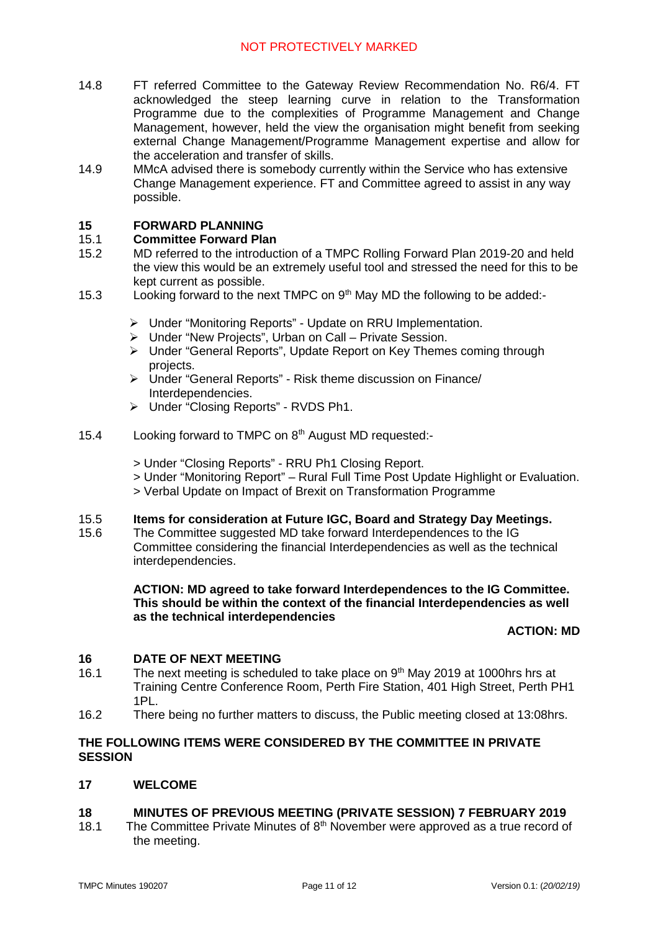- 14.8 FT referred Committee to the Gateway Review Recommendation No. R6/4. FT acknowledged the steep learning curve in relation to the Transformation Programme due to the complexities of Programme Management and Change Management, however, held the view the organisation might benefit from seeking external Change Management/Programme Management expertise and allow for the acceleration and transfer of skills.
- 14.9 MMcA advised there is somebody currently within the Service who has extensive Change Management experience. FT and Committee agreed to assist in any way possible.

## **15 FORWARD PLANNING**

## 15.1 **Committee Forward Plan**

- 15.2 MD referred to the introduction of a TMPC Rolling Forward Plan 2019-20 and held the view this would be an extremely useful tool and stressed the need for this to be kept current as possible.
- 15.3 Looking forward to the next TMPC on 9th May MD the following to be added:-
	- Under "Monitoring Reports" Update on RRU Implementation.
	- Under "New Projects", Urban on Call Private Session.
	- Under "General Reports", Update Report on Key Themes coming through projects.
	- Under "General Reports" Risk theme discussion on Finance/ Interdependencies.
	- Under "Closing Reports" RVDS Ph1.
- 15.4 Looking forward to TMPC on 8<sup>th</sup> August MD requested:-
	- > Under "Closing Reports" RRU Ph1 Closing Report.
	- > Under "Monitoring Report" Rural Full Time Post Update Highlight or Evaluation.
	- > Verbal Update on Impact of Brexit on Transformation Programme

# 15.5 **Items for consideration at Future IGC, Board and Strategy Day Meetings.**

15.6 The Committee suggested MD take forward Interdependences to the IG Committee considering the financial Interdependencies as well as the technical interdependencies.

### **ACTION: MD agreed to take forward Interdependences to the IG Committee. This should be within the context of the financial Interdependencies as well as the technical interdependencies**

### **ACTION: MD**

## **16 DATE OF NEXT MEETING**

- 16.1 The next meeting is scheduled to take place on 9<sup>th</sup> May 2019 at 1000hrs hrs at Training Centre Conference Room, Perth Fire Station, 401 High Street, Perth PH1 1PL.
- 16.2 There being no further matters to discuss, the Public meeting closed at 13:08hrs.

## **THE FOLLOWING ITEMS WERE CONSIDERED BY THE COMMITTEE IN PRIVATE SESSION**

### **17 WELCOME**

### **18 MINUTES OF PREVIOUS MEETING (PRIVATE SESSION) 7 FEBRUARY 2019**

18.1 The Committee Private Minutes of  $8<sup>th</sup>$  November were approved as a true record of the meeting.